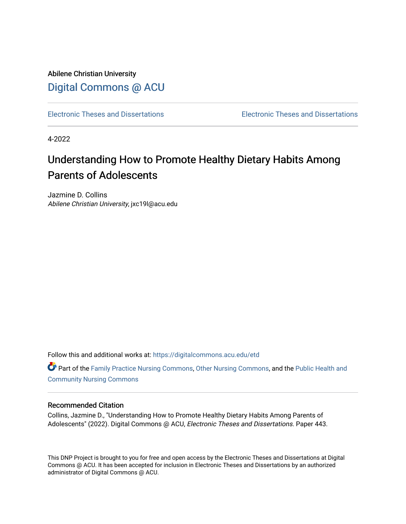Abilene Christian University [Digital Commons @ ACU](https://digitalcommons.acu.edu/)

[Electronic Theses and Dissertations](https://digitalcommons.acu.edu/etd) [Electronic Theses and Dissertations](https://digitalcommons.acu.edu/graduate_works) 

4-2022

# Understanding How to Promote Healthy Dietary Habits Among Parents of Adolescents

Jazmine D. Collins Abilene Christian University, jxc19l@acu.edu

Follow this and additional works at: [https://digitalcommons.acu.edu/etd](https://digitalcommons.acu.edu/etd?utm_source=digitalcommons.acu.edu%2Fetd%2F443&utm_medium=PDF&utm_campaign=PDFCoverPages) 

**C** Part of the [Family Practice Nursing Commons](http://network.bepress.com/hgg/discipline/720?utm_source=digitalcommons.acu.edu%2Fetd%2F443&utm_medium=PDF&utm_campaign=PDFCoverPages), [Other Nursing Commons,](http://network.bepress.com/hgg/discipline/729?utm_source=digitalcommons.acu.edu%2Fetd%2F443&utm_medium=PDF&utm_campaign=PDFCoverPages) and the Public Health and [Community Nursing Commons](http://network.bepress.com/hgg/discipline/725?utm_source=digitalcommons.acu.edu%2Fetd%2F443&utm_medium=PDF&utm_campaign=PDFCoverPages) 

#### Recommended Citation

Collins, Jazmine D., "Understanding How to Promote Healthy Dietary Habits Among Parents of Adolescents" (2022). Digital Commons @ ACU, Electronic Theses and Dissertations. Paper 443.

This DNP Project is brought to you for free and open access by the Electronic Theses and Dissertations at Digital Commons @ ACU. It has been accepted for inclusion in Electronic Theses and Dissertations by an authorized administrator of Digital Commons @ ACU.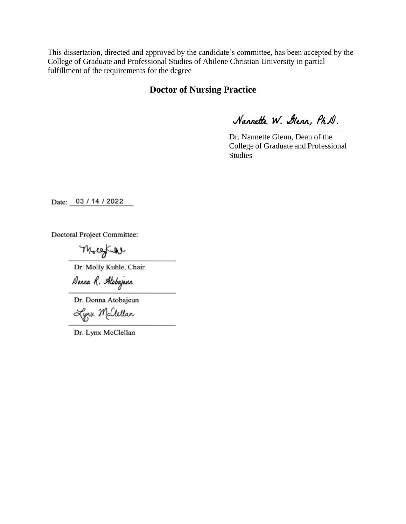This dissertation, directed and approved by the candidate's committee, has been accepted by the College of Graduate and Professional Studies of Abilene Christian University in partial fulfillment of the requirements for the degree

## **Doctor of Nursing Practice**

Nannette W. Glenn, Ph.D.

Dr. Nannette Glenn, Dean of the College of Graduate and Professional Studies

Date: 03 / 14 / 2022

**Doctoral Project Committee:** 

Molesfull

Dr. Molly Kuhle, Chair

Donna R. Atobajeun

Dr. Donna Atobajeun

Lynx Mclellan

Dr. Lynx McClellan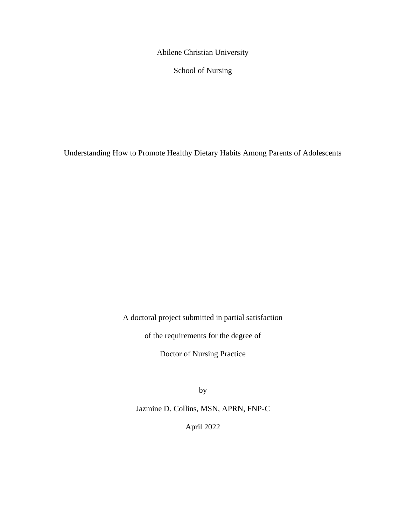Abilene Christian University

School of Nursing

Understanding How to Promote Healthy Dietary Habits Among Parents of Adolescents

A doctoral project submitted in partial satisfaction

of the requirements for the degree of

Doctor of Nursing Practice

by

Jazmine D. Collins, MSN, APRN, FNP-C

April 2022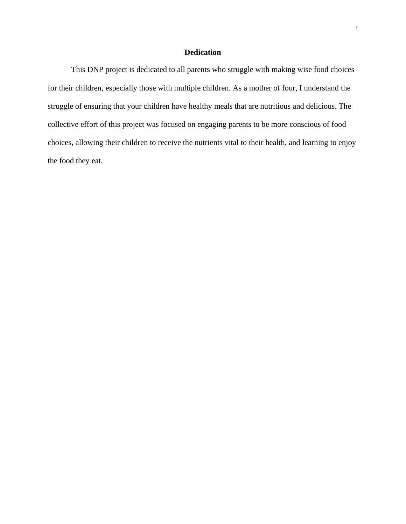### **Dedication**

This DNP project is dedicated to all parents who struggle with making wise food choices for their children, especially those with multiple children. As a mother of four, I understand the struggle of ensuring that your children have healthy meals that are nutritious and delicious. The collective effort of this project was focused on engaging parents to be more conscious of food choices, allowing their children to receive the nutrients vital to their health, and learning to enjoy the food they eat.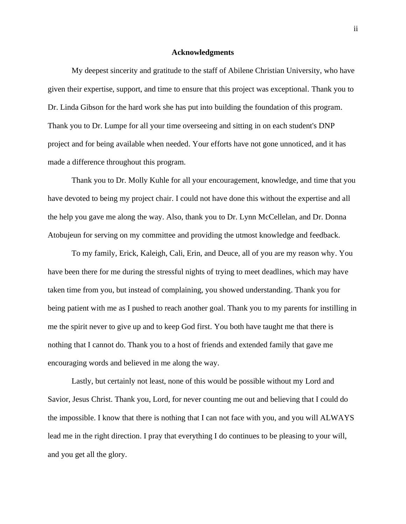#### **Acknowledgments**

My deepest sincerity and gratitude to the staff of Abilene Christian University, who have given their expertise, support, and time to ensure that this project was exceptional. Thank you to Dr. Linda Gibson for the hard work she has put into building the foundation of this program. Thank you to Dr. Lumpe for all your time overseeing and sitting in on each student's DNP project and for being available when needed. Your efforts have not gone unnoticed, and it has made a difference throughout this program.

Thank you to Dr. Molly Kuhle for all your encouragement, knowledge, and time that you have devoted to being my project chair. I could not have done this without the expertise and all the help you gave me along the way. Also, thank you to Dr. Lynn McCellelan, and Dr. Donna Atobujeun for serving on my committee and providing the utmost knowledge and feedback.

To my family, Erick, Kaleigh, Cali, Erin, and Deuce, all of you are my reason why. You have been there for me during the stressful nights of trying to meet deadlines, which may have taken time from you, but instead of complaining, you showed understanding. Thank you for being patient with me as I pushed to reach another goal. Thank you to my parents for instilling in me the spirit never to give up and to keep God first. You both have taught me that there is nothing that I cannot do. Thank you to a host of friends and extended family that gave me encouraging words and believed in me along the way.

Lastly, but certainly not least, none of this would be possible without my Lord and Savior, Jesus Christ. Thank you, Lord, for never counting me out and believing that I could do the impossible. I know that there is nothing that I can not face with you, and you will ALWAYS lead me in the right direction. I pray that everything I do continues to be pleasing to your will, and you get all the glory.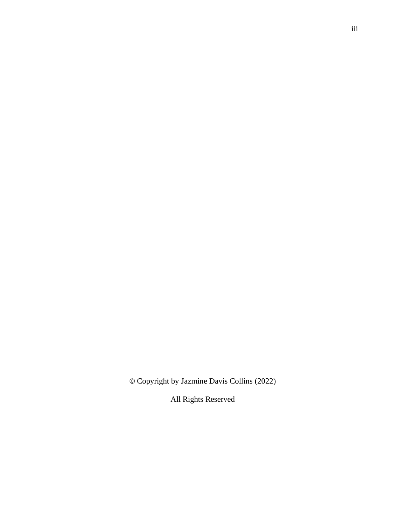© Copyright by Jazmine Davis Collins (2022)

All Rights Reserved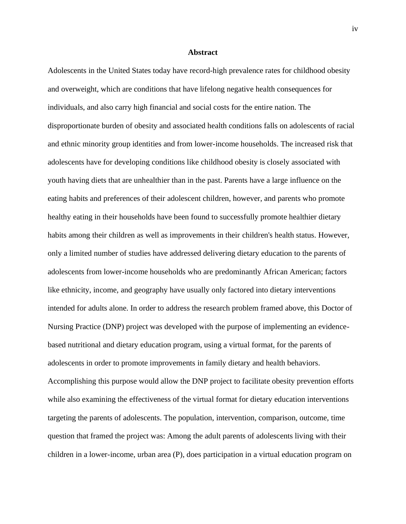#### **Abstract**

Adolescents in the United States today have record-high prevalence rates for childhood obesity and overweight, which are conditions that have lifelong negative health consequences for individuals, and also carry high financial and social costs for the entire nation. The disproportionate burden of obesity and associated health conditions falls on adolescents of racial and ethnic minority group identities and from lower-income households. The increased risk that adolescents have for developing conditions like childhood obesity is closely associated with youth having diets that are unhealthier than in the past. Parents have a large influence on the eating habits and preferences of their adolescent children, however, and parents who promote healthy eating in their households have been found to successfully promote healthier dietary habits among their children as well as improvements in their children's health status. However, only a limited number of studies have addressed delivering dietary education to the parents of adolescents from lower-income households who are predominantly African American; factors like ethnicity, income, and geography have usually only factored into dietary interventions intended for adults alone. In order to address the research problem framed above, this Doctor of Nursing Practice (DNP) project was developed with the purpose of implementing an evidencebased nutritional and dietary education program, using a virtual format, for the parents of adolescents in order to promote improvements in family dietary and health behaviors. Accomplishing this purpose would allow the DNP project to facilitate obesity prevention efforts while also examining the effectiveness of the virtual format for dietary education interventions targeting the parents of adolescents. The population, intervention, comparison, outcome, time question that framed the project was: Among the adult parents of adolescents living with their children in a lower-income, urban area (P), does participation in a virtual education program on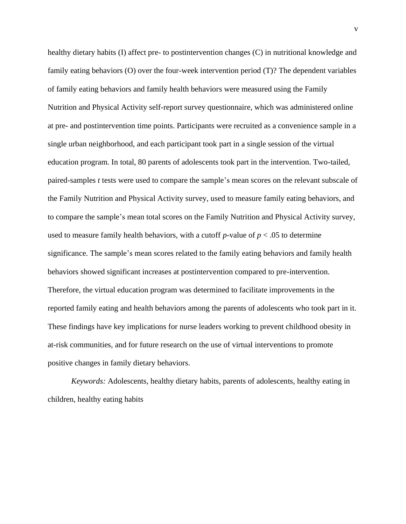healthy dietary habits (I) affect pre- to postintervention changes (C) in nutritional knowledge and family eating behaviors (O) over the four-week intervention period (T)? The dependent variables of family eating behaviors and family health behaviors were measured using the Family Nutrition and Physical Activity self-report survey questionnaire, which was administered online at pre- and postintervention time points. Participants were recruited as a convenience sample in a single urban neighborhood, and each participant took part in a single session of the virtual education program. In total, 80 parents of adolescents took part in the intervention. Two-tailed, paired-samples *t* tests were used to compare the sample's mean scores on the relevant subscale of the Family Nutrition and Physical Activity survey, used to measure family eating behaviors, and to compare the sample's mean total scores on the Family Nutrition and Physical Activity survey, used to measure family health behaviors, with a cutoff  $p$ -value of  $p < .05$  to determine significance. The sample's mean scores related to the family eating behaviors and family health behaviors showed significant increases at postintervention compared to pre-intervention. Therefore, the virtual education program was determined to facilitate improvements in the reported family eating and health behaviors among the parents of adolescents who took part in it. These findings have key implications for nurse leaders working to prevent childhood obesity in at-risk communities, and for future research on the use of virtual interventions to promote positive changes in family dietary behaviors.

*Keywords:* Adolescents, healthy dietary habits, parents of adolescents, healthy eating in children, healthy eating habits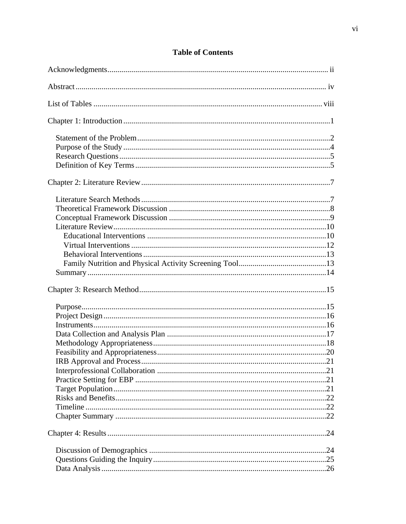# **Table of Contents**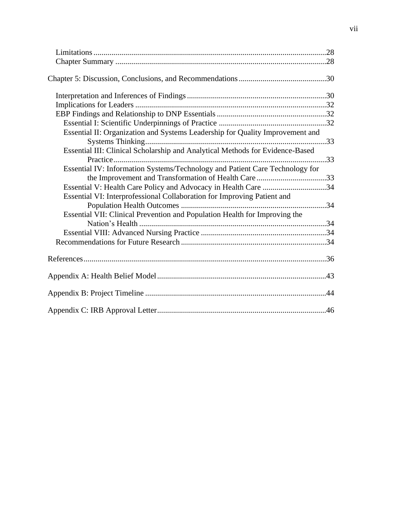| Essential II: Organization and Systems Leadership for Quality Improvement and |  |
|-------------------------------------------------------------------------------|--|
|                                                                               |  |
| Essential III: Clinical Scholarship and Analytical Methods for Evidence-Based |  |
|                                                                               |  |
| Essential IV: Information Systems/Technology and Patient Care Technology for  |  |
|                                                                               |  |
| Essential V: Health Care Policy and Advocacy in Health Care 34                |  |
| Essential VI: Interprofessional Collaboration for Improving Patient and       |  |
|                                                                               |  |
| Essential VII: Clinical Prevention and Population Health for Improving the    |  |
|                                                                               |  |
|                                                                               |  |
|                                                                               |  |
|                                                                               |  |
|                                                                               |  |
|                                                                               |  |
|                                                                               |  |
|                                                                               |  |
|                                                                               |  |
|                                                                               |  |
|                                                                               |  |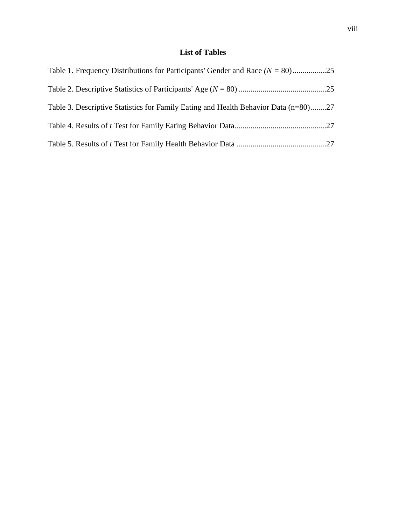## **List of Tables**

| Table 3. Descriptive Statistics for Family Eating and Health Behavior Data (n=80)27 |  |
|-------------------------------------------------------------------------------------|--|
|                                                                                     |  |
|                                                                                     |  |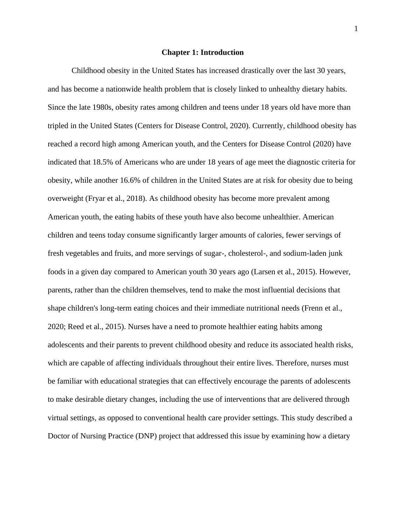#### **Chapter 1: Introduction**

Childhood obesity in the United States has increased drastically over the last 30 years, and has become a nationwide health problem that is closely linked to unhealthy dietary habits. Since the late 1980s, obesity rates among children and teens under 18 years old have more than tripled in the United States (Centers for Disease Control, 2020). Currently, childhood obesity has reached a record high among American youth, and the Centers for Disease Control (2020) have indicated that 18.5% of Americans who are under 18 years of age meet the diagnostic criteria for obesity, while another 16.6% of children in the United States are at risk for obesity due to being overweight (Fryar et al., 2018). As childhood obesity has become more prevalent among American youth, the eating habits of these youth have also become unhealthier. American children and teens today consume significantly larger amounts of calories, fewer servings of fresh vegetables and fruits, and more servings of sugar-, cholesterol-, and sodium-laden junk foods in a given day compared to American youth 30 years ago (Larsen et al., 2015). However, parents, rather than the children themselves, tend to make the most influential decisions that shape children's long-term eating choices and their immediate nutritional needs (Frenn et al., 2020; Reed et al., 2015). Nurses have a need to promote healthier eating habits among adolescents and their parents to prevent childhood obesity and reduce its associated health risks, which are capable of affecting individuals throughout their entire lives. Therefore, nurses must be familiar with educational strategies that can effectively encourage the parents of adolescents to make desirable dietary changes, including the use of interventions that are delivered through virtual settings, as opposed to conventional health care provider settings. This study described a Doctor of Nursing Practice (DNP) project that addressed this issue by examining how a dietary

1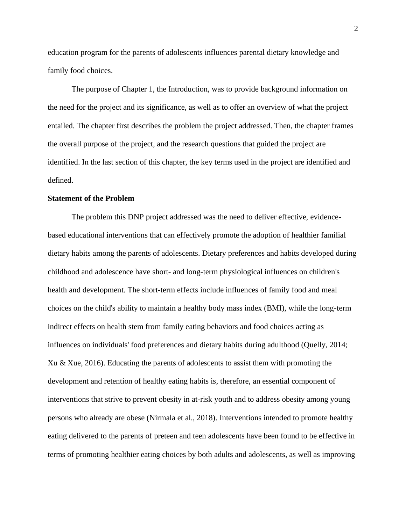education program for the parents of adolescents influences parental dietary knowledge and family food choices.

The purpose of Chapter 1, the Introduction, was to provide background information on the need for the project and its significance, as well as to offer an overview of what the project entailed. The chapter first describes the problem the project addressed. Then, the chapter frames the overall purpose of the project, and the research questions that guided the project are identified. In the last section of this chapter, the key terms used in the project are identified and defined.

#### **Statement of the Problem**

The problem this DNP project addressed was the need to deliver effective, evidencebased educational interventions that can effectively promote the adoption of healthier familial dietary habits among the parents of adolescents. Dietary preferences and habits developed during childhood and adolescence have short- and long-term physiological influences on children's health and development. The short-term effects include influences of family food and meal choices on the child's ability to maintain a healthy body mass index (BMI), while the long-term indirect effects on health stem from family eating behaviors and food choices acting as influences on individuals' food preferences and dietary habits during adulthood (Quelly, 2014; Xu & Xue, 2016). Educating the parents of adolescents to assist them with promoting the development and retention of healthy eating habits is, therefore, an essential component of interventions that strive to prevent obesity in at-risk youth and to address obesity among young persons who already are obese (Nirmala et al., 2018). Interventions intended to promote healthy eating delivered to the parents of preteen and teen adolescents have been found to be effective in terms of promoting healthier eating choices by both adults and adolescents, as well as improving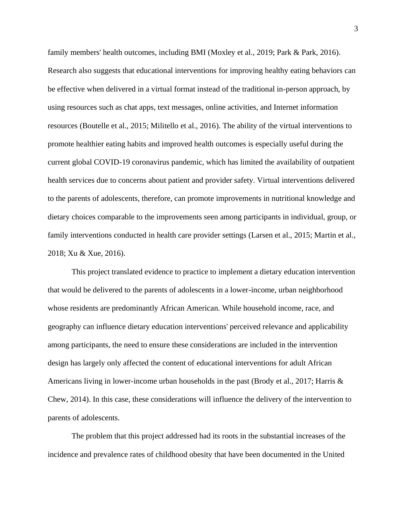family members' health outcomes, including BMI (Moxley et al., 2019; Park & Park, 2016). Research also suggests that educational interventions for improving healthy eating behaviors can be effective when delivered in a virtual format instead of the traditional in-person approach, by using resources such as chat apps, text messages, online activities, and Internet information resources (Boutelle et al., 2015; Militello et al., 2016). The ability of the virtual interventions to promote healthier eating habits and improved health outcomes is especially useful during the current global COVID-19 coronavirus pandemic, which has limited the availability of outpatient health services due to concerns about patient and provider safety. Virtual interventions delivered to the parents of adolescents, therefore, can promote improvements in nutritional knowledge and dietary choices comparable to the improvements seen among participants in individual, group, or family interventions conducted in health care provider settings (Larsen et al., 2015; Martin et al., 2018; Xu & Xue, 2016).

This project translated evidence to practice to implement a dietary education intervention that would be delivered to the parents of adolescents in a lower-income, urban neighborhood whose residents are predominantly African American. While household income, race, and geography can influence dietary education interventions' perceived relevance and applicability among participants, the need to ensure these considerations are included in the intervention design has largely only affected the content of educational interventions for adult African Americans living in lower-income urban households in the past (Brody et al., 2017; Harris & Chew, 2014). In this case, these considerations will influence the delivery of the intervention to parents of adolescents.

The problem that this project addressed had its roots in the substantial increases of the incidence and prevalence rates of childhood obesity that have been documented in the United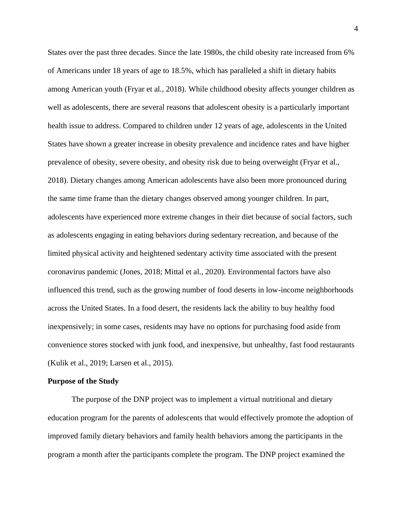States over the past three decades. Since the late 1980s, the child obesity rate increased from 6% of Americans under 18 years of age to 18.5%, which has paralleled a shift in dietary habits among American youth (Fryar et al., 2018). While childhood obesity affects younger children as well as adolescents, there are several reasons that adolescent obesity is a particularly important health issue to address. Compared to children under 12 years of age, adolescents in the United States have shown a greater increase in obesity prevalence and incidence rates and have higher prevalence of obesity, severe obesity, and obesity risk due to being overweight (Fryar et al., 2018). Dietary changes among American adolescents have also been more pronounced during the same time frame than the dietary changes observed among younger children. In part, adolescents have experienced more extreme changes in their diet because of social factors, such as adolescents engaging in eating behaviors during sedentary recreation, and because of the limited physical activity and heightened sedentary activity time associated with the present coronavirus pandemic (Jones, 2018; Mittal et al., 2020). Environmental factors have also influenced this trend, such as the growing number of food deserts in low-income neighborhoods across the United States. In a food desert, the residents lack the ability to buy healthy food inexpensively; in some cases, residents may have no options for purchasing food aside from convenience stores stocked with junk food, and inexpensive, but unhealthy, fast food restaurants (Kulik et al., 2019; Larsen et al., 2015).

#### **Purpose of the Study**

The purpose of the DNP project was to implement a virtual nutritional and dietary education program for the parents of adolescents that would effectively promote the adoption of improved family dietary behaviors and family health behaviors among the participants in the program a month after the participants complete the program. The DNP project examined the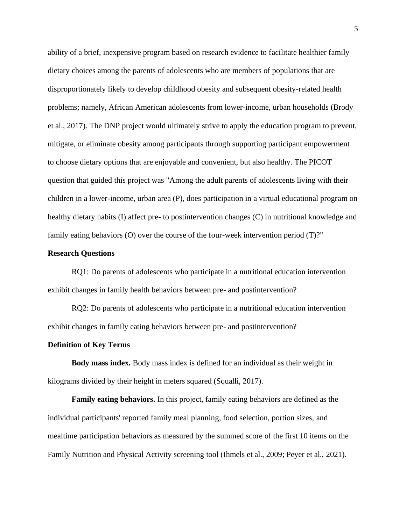ability of a brief, inexpensive program based on research evidence to facilitate healthier family dietary choices among the parents of adolescents who are members of populations that are disproportionately likely to develop childhood obesity and subsequent obesity-related health problems; namely, African American adolescents from lower-income, urban households (Brody et al., 2017). The DNP project would ultimately strive to apply the education program to prevent, mitigate, or eliminate obesity among participants through supporting participant empowerment to choose dietary options that are enjoyable and convenient, but also healthy. The PICOT question that guided this project was "Among the adult parents of adolescents living with their children in a lower-income, urban area (P), does participation in a virtual educational program on healthy dietary habits (I) affect pre- to postintervention changes (C) in nutritional knowledge and family eating behaviors (O) over the course of the four-week intervention period (T)?"

#### **Research Questions**

RQ1: Do parents of adolescents who participate in a nutritional education intervention exhibit changes in family health behaviors between pre- and postintervention?

RQ2: Do parents of adolescents who participate in a nutritional education intervention exhibit changes in family eating behaviors between pre- and postintervention?

#### **Definition of Key Terms**

**Body mass index.** Body mass index is defined for an individual as their weight in kilograms divided by their height in meters squared (Squalli, 2017).

**Family eating behaviors.** In this project, family eating behaviors are defined as the individual participants' reported family meal planning, food selection, portion sizes, and mealtime participation behaviors as measured by the summed score of the first 10 items on the Family Nutrition and Physical Activity screening tool (Ihmels et al., 2009; Peyer et al., 2021).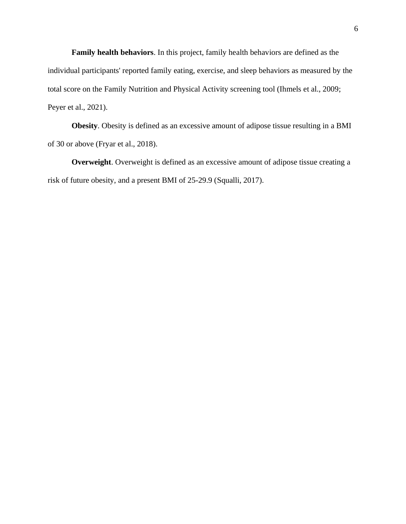**Family health behaviors**. In this project, family health behaviors are defined as the individual participants' reported family eating, exercise, and sleep behaviors as measured by the total score on the Family Nutrition and Physical Activity screening tool (Ihmels et al., 2009; Peyer et al., 2021).

**Obesity**. Obesity is defined as an excessive amount of adipose tissue resulting in a BMI of 30 or above (Fryar et al., 2018).

**Overweight**. Overweight is defined as an excessive amount of adipose tissue creating a risk of future obesity, and a present BMI of 25-29.9 (Squalli, 2017).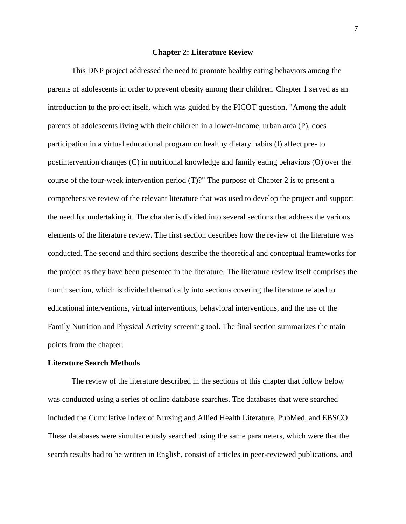#### **Chapter 2: Literature Review**

This DNP project addressed the need to promote healthy eating behaviors among the parents of adolescents in order to prevent obesity among their children. Chapter 1 served as an introduction to the project itself, which was guided by the PICOT question, "Among the adult parents of adolescents living with their children in a lower-income, urban area (P), does participation in a virtual educational program on healthy dietary habits (I) affect pre- to postintervention changes (C) in nutritional knowledge and family eating behaviors (O) over the course of the four-week intervention period (T)?" The purpose of Chapter 2 is to present a comprehensive review of the relevant literature that was used to develop the project and support the need for undertaking it. The chapter is divided into several sections that address the various elements of the literature review. The first section describes how the review of the literature was conducted. The second and third sections describe the theoretical and conceptual frameworks for the project as they have been presented in the literature. The literature review itself comprises the fourth section, which is divided thematically into sections covering the literature related to educational interventions, virtual interventions, behavioral interventions, and the use of the Family Nutrition and Physical Activity screening tool. The final section summarizes the main points from the chapter.

#### **Literature Search Methods**

The review of the literature described in the sections of this chapter that follow below was conducted using a series of online database searches. The databases that were searched included the Cumulative Index of Nursing and Allied Health Literature, PubMed, and EBSCO. These databases were simultaneously searched using the same parameters, which were that the search results had to be written in English, consist of articles in peer-reviewed publications, and

7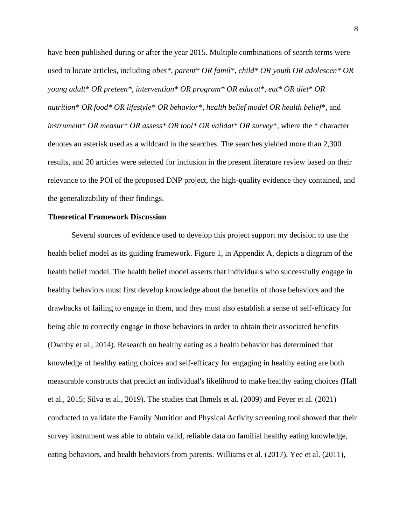have been published during or after the year 2015. Multiple combinations of search terms were used to locate articles, including *obes\**, *parent\* OR famil\**, *child\* OR youth OR adolescen\* OR young adult\* OR preteen\**, *intervention\* OR program\* OR educat\**, *eat\* OR diet\* OR nutrition\* OR food\* OR lifestyle\* OR behavior\**, *health belief model OR health belief\**, and *instrument\* OR measur\* OR assess\* OR tool\* OR validat\* OR survey\**, where the \* character denotes an asterisk used as a wildcard in the searches. The searches yielded more than 2,300 results, and 20 articles were selected for inclusion in the present literature review based on their relevance to the POI of the proposed DNP project, the high-quality evidence they contained, and the generalizability of their findings.

#### **Theoretical Framework Discussion**

Several sources of evidence used to develop this project support my decision to use the health belief model as its guiding framework. Figure 1, in Appendix A, depicts a diagram of the health belief model. The health belief model asserts that individuals who successfully engage in healthy behaviors must first develop knowledge about the benefits of those behaviors and the drawbacks of failing to engage in them, and they must also establish a sense of self-efficacy for being able to correctly engage in those behaviors in order to obtain their associated benefits (Ownby et al., 2014). Research on healthy eating as a health behavior has determined that knowledge of healthy eating choices and self-efficacy for engaging in healthy eating are both measurable constructs that predict an individual's likelihood to make healthy eating choices (Hall et al., 2015; Silva et al., 2019). The studies that Ihmels et al. (2009) and Peyer et al. (2021) conducted to validate the Family Nutrition and Physical Activity screening tool showed that their survey instrument was able to obtain valid, reliable data on familial healthy eating knowledge, eating behaviors, and health behaviors from parents. Williams et al. (2017), Yee et al. (2011),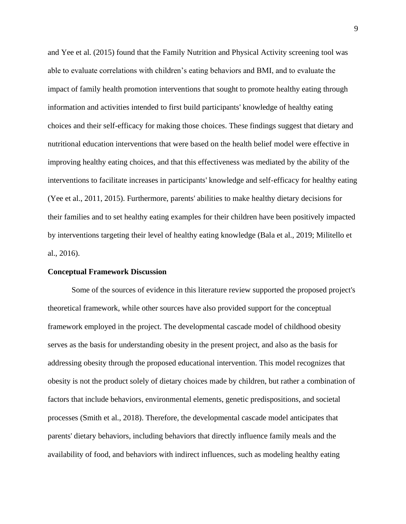and Yee et al. (2015) found that the Family Nutrition and Physical Activity screening tool was able to evaluate correlations with children's eating behaviors and BMI, and to evaluate the impact of family health promotion interventions that sought to promote healthy eating through information and activities intended to first build participants' knowledge of healthy eating choices and their self-efficacy for making those choices. These findings suggest that dietary and nutritional education interventions that were based on the health belief model were effective in improving healthy eating choices, and that this effectiveness was mediated by the ability of the interventions to facilitate increases in participants' knowledge and self-efficacy for healthy eating (Yee et al., 2011, 2015). Furthermore, parents' abilities to make healthy dietary decisions for their families and to set healthy eating examples for their children have been positively impacted by interventions targeting their level of healthy eating knowledge (Bala et al., 2019; Militello et al., 2016).

#### **Conceptual Framework Discussion**

Some of the sources of evidence in this literature review supported the proposed project's theoretical framework, while other sources have also provided support for the conceptual framework employed in the project. The developmental cascade model of childhood obesity serves as the basis for understanding obesity in the present project, and also as the basis for addressing obesity through the proposed educational intervention. This model recognizes that obesity is not the product solely of dietary choices made by children, but rather a combination of factors that include behaviors, environmental elements, genetic predispositions, and societal processes (Smith et al., 2018). Therefore, the developmental cascade model anticipates that parents' dietary behaviors, including behaviors that directly influence family meals and the availability of food, and behaviors with indirect influences, such as modeling healthy eating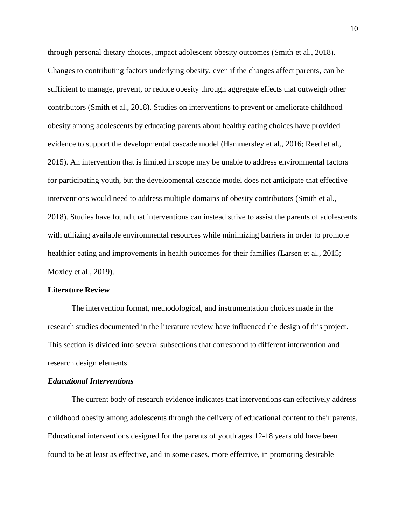through personal dietary choices, impact adolescent obesity outcomes (Smith et al., 2018). Changes to contributing factors underlying obesity, even if the changes affect parents, can be sufficient to manage, prevent, or reduce obesity through aggregate effects that outweigh other contributors (Smith et al., 2018). Studies on interventions to prevent or ameliorate childhood obesity among adolescents by educating parents about healthy eating choices have provided evidence to support the developmental cascade model (Hammersley et al., 2016; Reed et al., 2015). An intervention that is limited in scope may be unable to address environmental factors for participating youth, but the developmental cascade model does not anticipate that effective interventions would need to address multiple domains of obesity contributors (Smith et al., 2018). Studies have found that interventions can instead strive to assist the parents of adolescents with utilizing available environmental resources while minimizing barriers in order to promote healthier eating and improvements in health outcomes for their families (Larsen et al., 2015; Moxley et al., 2019).

#### **Literature Review**

The intervention format, methodological, and instrumentation choices made in the research studies documented in the literature review have influenced the design of this project. This section is divided into several subsections that correspond to different intervention and research design elements.

#### *Educational Interventions*

The current body of research evidence indicates that interventions can effectively address childhood obesity among adolescents through the delivery of educational content to their parents. Educational interventions designed for the parents of youth ages 12-18 years old have been found to be at least as effective, and in some cases, more effective, in promoting desirable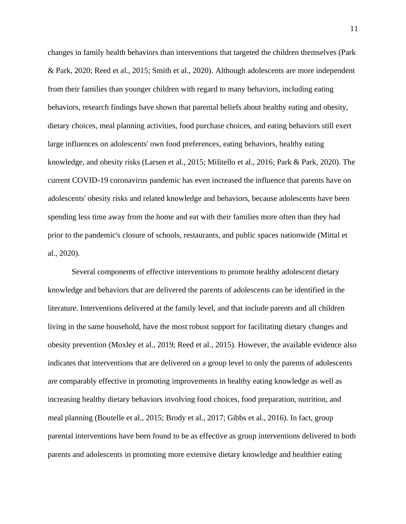changes in family health behaviors than interventions that targeted the children themselves (Park & Park, 2020; Reed et al., 2015; Smith et al., 2020). Although adolescents are more independent from their families than younger children with regard to many behaviors, including eating behaviors, research findings have shown that parental beliefs about healthy eating and obesity, dietary choices, meal planning activities, food purchase choices, and eating behaviors still exert large influences on adolescents' own food preferences, eating behaviors, healthy eating knowledge, and obesity risks (Larsen et al., 2015; Militello et al., 2016; Park & Park, 2020). The current COVID-19 coronavirus pandemic has even increased the influence that parents have on adolescents' obesity risks and related knowledge and behaviors, because adolescents have been spending less time away from the home and eat with their families more often than they had prior to the pandemic's closure of schools, restaurants, and public spaces nationwide (Mittal et al., 2020).

Several components of effective interventions to promote healthy adolescent dietary knowledge and behaviors that are delivered the parents of adolescents can be identified in the literature. Interventions delivered at the family level, and that include parents and all children living in the same household, have the most robust support for facilitating dietary changes and obesity prevention (Moxley et al., 2019; Reed et al., 2015). However, the available evidence also indicates that interventions that are delivered on a group level to only the parents of adolescents are comparably effective in promoting improvements in healthy eating knowledge as well as increasing healthy dietary behaviors involving food choices, food preparation, nutrition, and meal planning (Boutelle et al., 2015; Brody et al., 2017; Gibbs et al., 2016). In fact, group parental interventions have been found to be as effective as group interventions delivered to both parents and adolescents in promoting more extensive dietary knowledge and healthier eating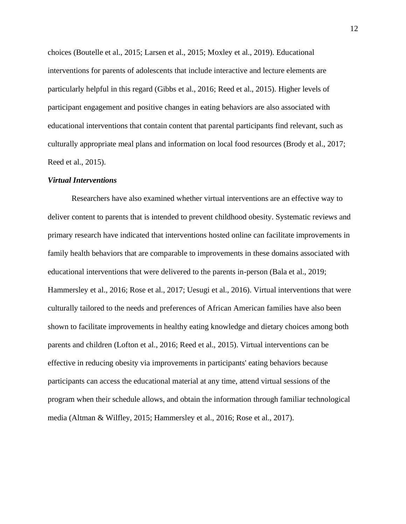choices (Boutelle et al., 2015; Larsen et al., 2015; Moxley et al., 2019). Educational interventions for parents of adolescents that include interactive and lecture elements are particularly helpful in this regard (Gibbs et al., 2016; Reed et al., 2015). Higher levels of participant engagement and positive changes in eating behaviors are also associated with educational interventions that contain content that parental participants find relevant, such as culturally appropriate meal plans and information on local food resources (Brody et al., 2017; Reed et al., 2015).

#### *Virtual Interventions*

Researchers have also examined whether virtual interventions are an effective way to deliver content to parents that is intended to prevent childhood obesity. Systematic reviews and primary research have indicated that interventions hosted online can facilitate improvements in family health behaviors that are comparable to improvements in these domains associated with educational interventions that were delivered to the parents in-person (Bala et al., 2019; Hammersley et al., 2016; Rose et al., 2017; Uesugi et al., 2016). Virtual interventions that were culturally tailored to the needs and preferences of African American families have also been shown to facilitate improvements in healthy eating knowledge and dietary choices among both parents and children (Lofton et al., 2016; Reed et al., 2015). Virtual interventions can be effective in reducing obesity via improvements in participants' eating behaviors because participants can access the educational material at any time, attend virtual sessions of the program when their schedule allows, and obtain the information through familiar technological media (Altman & Wilfley, 2015; Hammersley et al., 2016; Rose et al., 2017).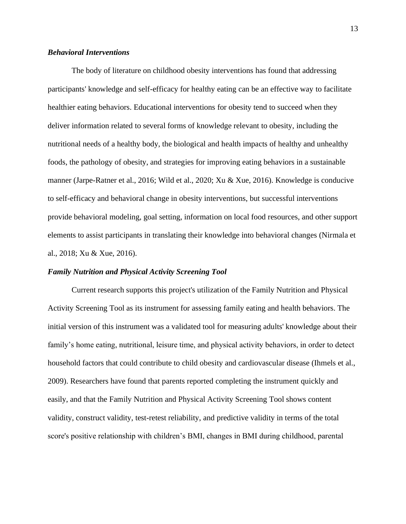#### *Behavioral Interventions*

The body of literature on childhood obesity interventions has found that addressing participants' knowledge and self-efficacy for healthy eating can be an effective way to facilitate healthier eating behaviors. Educational interventions for obesity tend to succeed when they deliver information related to several forms of knowledge relevant to obesity, including the nutritional needs of a healthy body, the biological and health impacts of healthy and unhealthy foods, the pathology of obesity, and strategies for improving eating behaviors in a sustainable manner (Jarpe-Ratner et al., 2016; Wild et al., 2020; Xu & Xue, 2016). Knowledge is conducive to self-efficacy and behavioral change in obesity interventions, but successful interventions provide behavioral modeling, goal setting, information on local food resources, and other support elements to assist participants in translating their knowledge into behavioral changes (Nirmala et al., 2018; Xu & Xue, 2016).

#### *Family Nutrition and Physical Activity Screening Tool*

Current research supports this project's utilization of the Family Nutrition and Physical Activity Screening Tool as its instrument for assessing family eating and health behaviors. The initial version of this instrument was a validated tool for measuring adults' knowledge about their family's home eating, nutritional, leisure time, and physical activity behaviors, in order to detect household factors that could contribute to child obesity and cardiovascular disease (Ihmels et al., 2009). Researchers have found that parents reported completing the instrument quickly and easily, and that the Family Nutrition and Physical Activity Screening Tool shows content validity, construct validity, test-retest reliability, and predictive validity in terms of the total score's positive relationship with children's BMI, changes in BMI during childhood, parental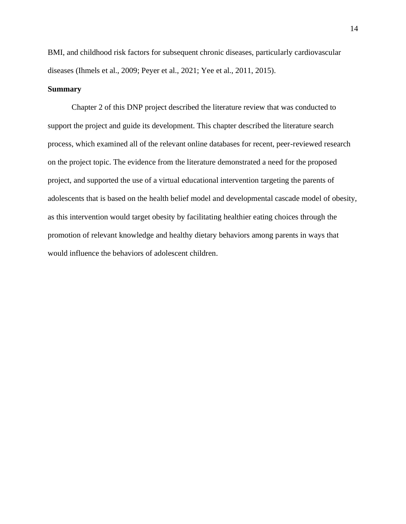BMI, and childhood risk factors for subsequent chronic diseases, particularly cardiovascular diseases (Ihmels et al., 2009; Peyer et al., 2021; Yee et al., 2011, 2015).

#### **Summary**

Chapter 2 of this DNP project described the literature review that was conducted to support the project and guide its development. This chapter described the literature search process, which examined all of the relevant online databases for recent, peer-reviewed research on the project topic. The evidence from the literature demonstrated a need for the proposed project, and supported the use of a virtual educational intervention targeting the parents of adolescents that is based on the health belief model and developmental cascade model of obesity, as this intervention would target obesity by facilitating healthier eating choices through the promotion of relevant knowledge and healthy dietary behaviors among parents in ways that would influence the behaviors of adolescent children.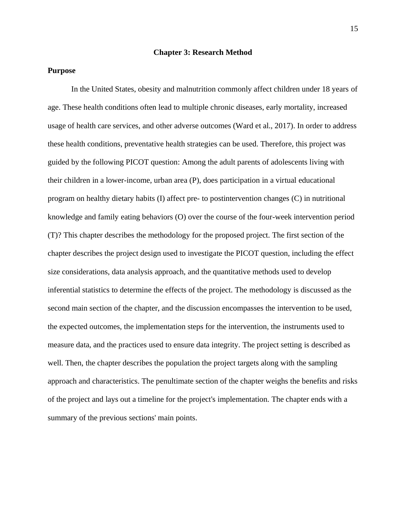#### **Chapter 3: Research Method**

#### **Purpose**

In the United States, obesity and malnutrition commonly affect children under 18 years of age. These health conditions often lead to multiple chronic diseases, early mortality, increased usage of health care services, and other adverse outcomes (Ward et al., 2017). In order to address these health conditions, preventative health strategies can be used. Therefore, this project was guided by the following PICOT question: Among the adult parents of adolescents living with their children in a lower-income, urban area (P), does participation in a virtual educational program on healthy dietary habits (I) affect pre- to postintervention changes (C) in nutritional knowledge and family eating behaviors (O) over the course of the four-week intervention period (T)? This chapter describes the methodology for the proposed project. The first section of the chapter describes the project design used to investigate the PICOT question, including the effect size considerations, data analysis approach, and the quantitative methods used to develop inferential statistics to determine the effects of the project. The methodology is discussed as the second main section of the chapter, and the discussion encompasses the intervention to be used, the expected outcomes, the implementation steps for the intervention, the instruments used to measure data, and the practices used to ensure data integrity. The project setting is described as well. Then, the chapter describes the population the project targets along with the sampling approach and characteristics. The penultimate section of the chapter weighs the benefits and risks of the project and lays out a timeline for the project's implementation. The chapter ends with a summary of the previous sections' main points.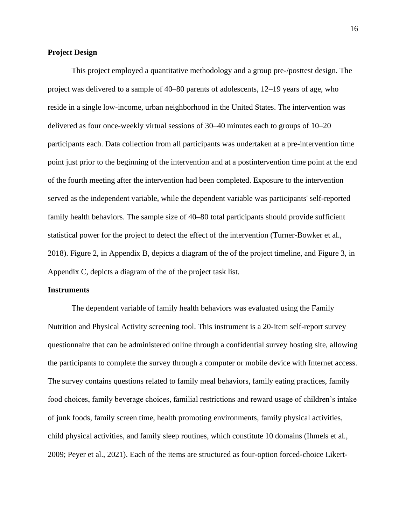#### **Project Design**

This project employed a quantitative methodology and a group pre-/posttest design. The project was delivered to a sample of 40–80 parents of adolescents, 12–19 years of age, who reside in a single low-income, urban neighborhood in the United States. The intervention was delivered as four once-weekly virtual sessions of 30–40 minutes each to groups of 10–20 participants each. Data collection from all participants was undertaken at a pre-intervention time point just prior to the beginning of the intervention and at a postintervention time point at the end of the fourth meeting after the intervention had been completed. Exposure to the intervention served as the independent variable, while the dependent variable was participants' self-reported family health behaviors. The sample size of 40–80 total participants should provide sufficient statistical power for the project to detect the effect of the intervention (Turner-Bowker et al., 2018). Figure 2, in Appendix B, depicts a diagram of the of the project timeline, and Figure 3, in Appendix C, depicts a diagram of the of the project task list.

#### **Instruments**

The dependent variable of family health behaviors was evaluated using the Family Nutrition and Physical Activity screening tool. This instrument is a 20-item self-report survey questionnaire that can be administered online through a confidential survey hosting site, allowing the participants to complete the survey through a computer or mobile device with Internet access. The survey contains questions related to family meal behaviors, family eating practices, family food choices, family beverage choices, familial restrictions and reward usage of children's intake of junk foods, family screen time, health promoting environments, family physical activities, child physical activities, and family sleep routines, which constitute 10 domains (Ihmels et al., 2009; Peyer et al., 2021). Each of the items are structured as four-option forced-choice Likert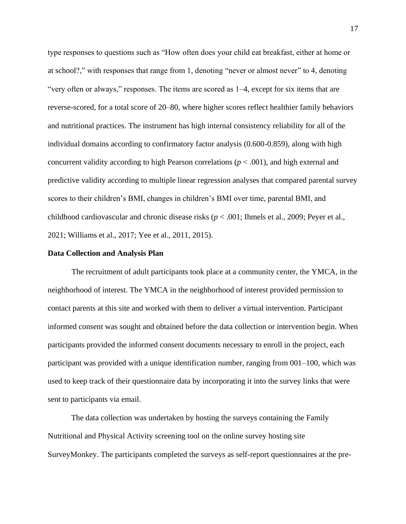type responses to questions such as "How often does your child eat breakfast, either at home or at school?," with responses that range from 1, denoting "never or almost never" to 4, denoting "very often or always," responses. The items are scored as 1–4, except for six items that are reverse-scored, for a total score of 20–80, where higher scores reflect healthier family behaviors and nutritional practices. The instrument has high internal consistency reliability for all of the individual domains according to confirmatory factor analysis (0.600-0.859), along with high concurrent validity according to high Pearson correlations ( $p < .001$ ), and high external and predictive validity according to multiple linear regression analyses that compared parental survey scores to their children's BMI, changes in children's BMI over time, parental BMI, and childhood cardiovascular and chronic disease risks (*p* < .001; Ihmels et al., 2009; Peyer et al., 2021; Williams et al., 2017; Yee et al., 2011, 2015).

#### **Data Collection and Analysis Plan**

The recruitment of adult participants took place at a community center, the YMCA, in the neighborhood of interest. The YMCA in the neighborhood of interest provided permission to contact parents at this site and worked with them to deliver a virtual intervention. Participant informed consent was sought and obtained before the data collection or intervention begin. When participants provided the informed consent documents necessary to enroll in the project, each participant was provided with a unique identification number, ranging from 001–100, which was used to keep track of their questionnaire data by incorporating it into the survey links that were sent to participants via email.

The data collection was undertaken by hosting the surveys containing the Family Nutritional and Physical Activity screening tool on the online survey hosting site SurveyMonkey. The participants completed the surveys as self-report questionnaires at the pre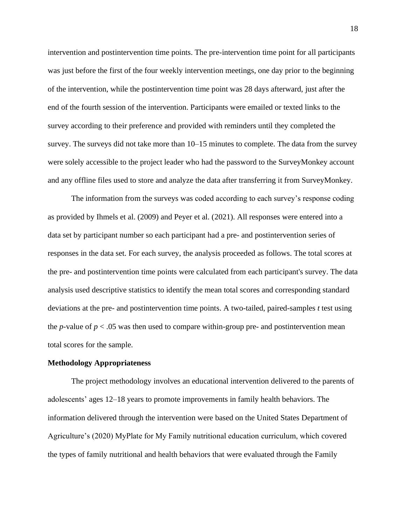intervention and postintervention time points. The pre-intervention time point for all participants was just before the first of the four weekly intervention meetings, one day prior to the beginning of the intervention, while the postintervention time point was 28 days afterward, just after the end of the fourth session of the intervention. Participants were emailed or texted links to the survey according to their preference and provided with reminders until they completed the survey. The surveys did not take more than 10–15 minutes to complete. The data from the survey were solely accessible to the project leader who had the password to the SurveyMonkey account and any offline files used to store and analyze the data after transferring it from SurveyMonkey.

The information from the surveys was coded according to each survey's response coding as provided by Ihmels et al. (2009) and Peyer et al. (2021). All responses were entered into a data set by participant number so each participant had a pre- and postintervention series of responses in the data set. For each survey, the analysis proceeded as follows. The total scores at the pre- and postintervention time points were calculated from each participant's survey. The data analysis used descriptive statistics to identify the mean total scores and corresponding standard deviations at the pre- and postintervention time points. A two-tailed, paired-samples *t* test using the *p*-value of  $p < .05$  was then used to compare within-group pre- and postintervention mean total scores for the sample.

#### **Methodology Appropriateness**

The project methodology involves an educational intervention delivered to the parents of adolescents' ages 12–18 years to promote improvements in family health behaviors. The information delivered through the intervention were based on the United States Department of Agriculture's (2020) MyPlate for My Family nutritional education curriculum, which covered the types of family nutritional and health behaviors that were evaluated through the Family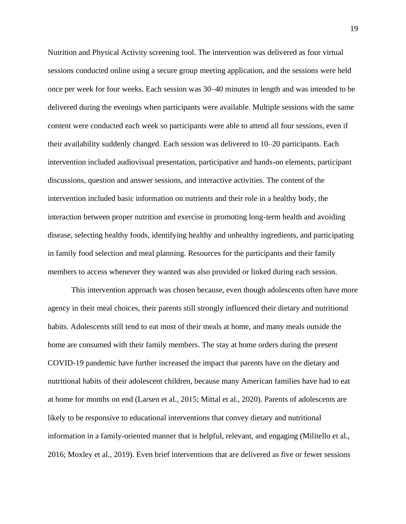Nutrition and Physical Activity screening tool. The intervention was delivered as four virtual sessions conducted online using a secure group meeting application, and the sessions were held once per week for four weeks. Each session was 30–40 minutes in length and was intended to be delivered during the evenings when participants were available. Multiple sessions with the same content were conducted each week so participants were able to attend all four sessions, even if their availability suddenly changed. Each session was delivered to 10–20 participants. Each intervention included audiovisual presentation, participative and hands-on elements, participant discussions, question and answer sessions, and interactive activities. The content of the intervention included basic information on nutrients and their role in a healthy body, the interaction between proper nutrition and exercise in promoting long-term health and avoiding disease, selecting healthy foods, identifying healthy and unhealthy ingredients, and participating in family food selection and meal planning. Resources for the participants and their family members to access whenever they wanted was also provided or linked during each session.

This intervention approach was chosen because, even though adolescents often have more agency in their meal choices, their parents still strongly influenced their dietary and nutritional habits. Adolescents still tend to eat most of their meals at home, and many meals outside the home are consumed with their family members. The stay at home orders during the present COVID-19 pandemic have further increased the impact that parents have on the dietary and nutritional habits of their adolescent children, because many American families have had to eat at home for months on end (Larsen et al., 2015; Mittal et al., 2020). Parents of adolescents are likely to be responsive to educational interventions that convey dietary and nutritional information in a family-oriented manner that is helpful, relevant, and engaging (Militello et al., 2016; Moxley et al., 2019). Even brief interventions that are delivered as five or fewer sessions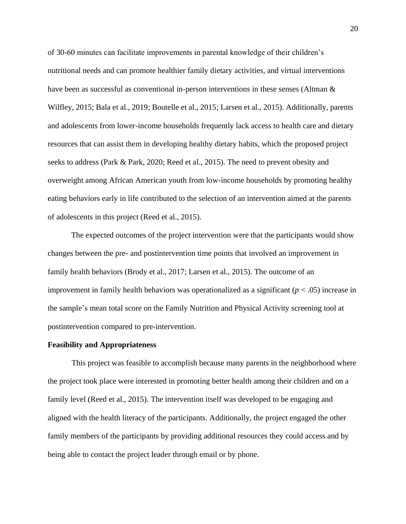of 30-60 minutes can facilitate improvements in parental knowledge of their children's nutritional needs and can promote healthier family dietary activities, and virtual interventions have been as successful as conventional in-person interventions in these senses (Altman & Wilfley, 2015; Bala et al., 2019; Boutelle et al., 2015; Larsen et al., 2015). Additionally, parents and adolescents from lower-income households frequently lack access to health care and dietary resources that can assist them in developing healthy dietary habits, which the proposed project seeks to address (Park & Park, 2020; Reed et al., 2015). The need to prevent obesity and overweight among African American youth from low-income households by promoting healthy eating behaviors early in life contributed to the selection of an intervention aimed at the parents of adolescents in this project (Reed et al., 2015).

The expected outcomes of the project intervention were that the participants would show changes between the pre- and postintervention time points that involved an improvement in family health behaviors (Brody et al., 2017; Larsen et al., 2015). The outcome of an improvement in family health behaviors was operationalized as a significant  $(p < .05)$  increase in the sample's mean total score on the Family Nutrition and Physical Activity screening tool at postintervention compared to pre-intervention.

#### **Feasibility and Appropriateness**

This project was feasible to accomplish because many parents in the neighborhood where the project took place were interested in promoting better health among their children and on a family level (Reed et al., 2015). The intervention itself was developed to be engaging and aligned with the health literacy of the participants. Additionally, the project engaged the other family members of the participants by providing additional resources they could access and by being able to contact the project leader through email or by phone.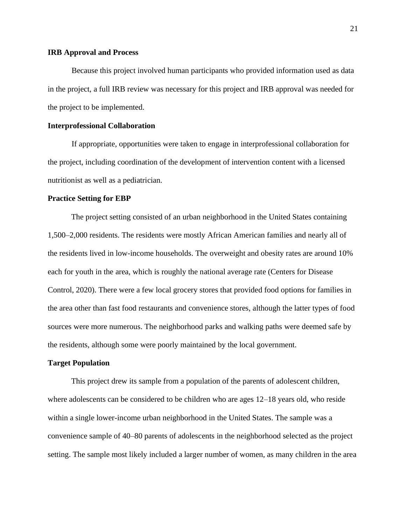#### **IRB Approval and Process**

Because this project involved human participants who provided information used as data in the project, a full IRB review was necessary for this project and IRB approval was needed for the project to be implemented.

#### **Interprofessional Collaboration**

If appropriate, opportunities were taken to engage in interprofessional collaboration for the project, including coordination of the development of intervention content with a licensed nutritionist as well as a pediatrician.

#### **Practice Setting for EBP**

The project setting consisted of an urban neighborhood in the United States containing 1,500–2,000 residents. The residents were mostly African American families and nearly all of the residents lived in low-income households. The overweight and obesity rates are around 10% each for youth in the area, which is roughly the national average rate (Centers for Disease Control, 2020). There were a few local grocery stores that provided food options for families in the area other than fast food restaurants and convenience stores, although the latter types of food sources were more numerous. The neighborhood parks and walking paths were deemed safe by the residents, although some were poorly maintained by the local government.

#### **Target Population**

This project drew its sample from a population of the parents of adolescent children, where adolescents can be considered to be children who are ages 12–18 years old, who reside within a single lower-income urban neighborhood in the United States. The sample was a convenience sample of 40–80 parents of adolescents in the neighborhood selected as the project setting. The sample most likely included a larger number of women, as many children in the area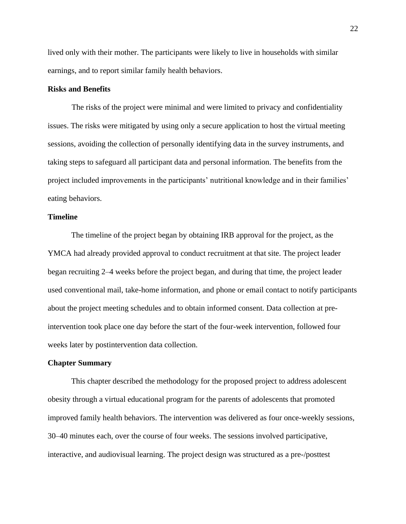lived only with their mother. The participants were likely to live in households with similar earnings, and to report similar family health behaviors.

#### **Risks and Benefits**

The risks of the project were minimal and were limited to privacy and confidentiality issues. The risks were mitigated by using only a secure application to host the virtual meeting sessions, avoiding the collection of personally identifying data in the survey instruments, and taking steps to safeguard all participant data and personal information. The benefits from the project included improvements in the participants' nutritional knowledge and in their families' eating behaviors.

#### **Timeline**

The timeline of the project began by obtaining IRB approval for the project, as the YMCA had already provided approval to conduct recruitment at that site. The project leader began recruiting 2–4 weeks before the project began, and during that time, the project leader used conventional mail, take-home information, and phone or email contact to notify participants about the project meeting schedules and to obtain informed consent. Data collection at preintervention took place one day before the start of the four-week intervention, followed four weeks later by postintervention data collection.

#### **Chapter Summary**

This chapter described the methodology for the proposed project to address adolescent obesity through a virtual educational program for the parents of adolescents that promoted improved family health behaviors. The intervention was delivered as four once-weekly sessions, 30–40 minutes each, over the course of four weeks. The sessions involved participative, interactive, and audiovisual learning. The project design was structured as a pre-/posttest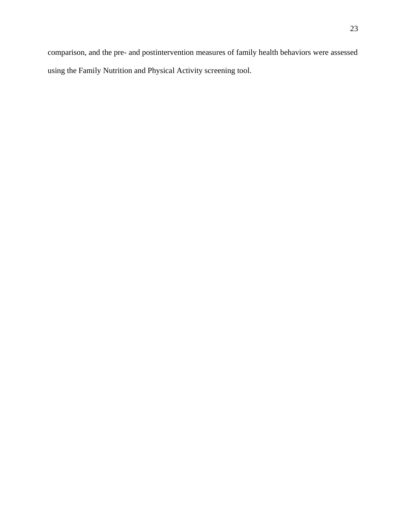comparison, and the pre- and postintervention measures of family health behaviors were assessed using the Family Nutrition and Physical Activity screening tool.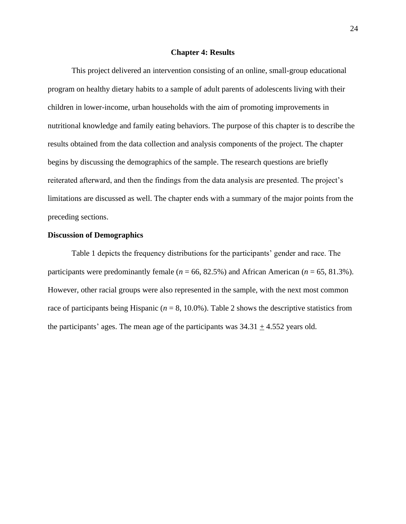#### **Chapter 4: Results**

This project delivered an intervention consisting of an online, small-group educational program on healthy dietary habits to a sample of adult parents of adolescents living with their children in lower-income, urban households with the aim of promoting improvements in nutritional knowledge and family eating behaviors. The purpose of this chapter is to describe the results obtained from the data collection and analysis components of the project. The chapter begins by discussing the demographics of the sample. The research questions are briefly reiterated afterward, and then the findings from the data analysis are presented. The project's limitations are discussed as well. The chapter ends with a summary of the major points from the preceding sections.

#### **Discussion of Demographics**

Table 1 depicts the frequency distributions for the participants' gender and race. The participants were predominantly female ( $n = 66, 82.5\%$ ) and African American ( $n = 65, 81.3\%$ ). However, other racial groups were also represented in the sample, with the next most common race of participants being Hispanic ( $n = 8$ , 10.0%). Table 2 shows the descriptive statistics from the participants' ages. The mean age of the participants was  $34.31 \pm 4.552$  years old.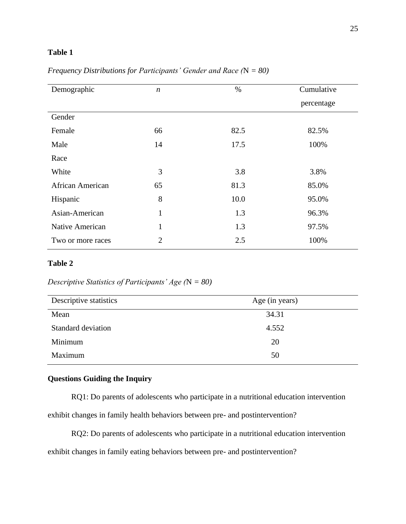## **Table 1**

| Demographic       | $\boldsymbol{n}$ | $\%$ | Cumulative |
|-------------------|------------------|------|------------|
|                   |                  |      | percentage |
| Gender            |                  |      |            |
| Female            | 66               | 82.5 | 82.5%      |
| Male              | 14               | 17.5 | 100%       |
| Race              |                  |      |            |
| White             | 3                | 3.8  | 3.8%       |
| African American  | 65               | 81.3 | 85.0%      |
| Hispanic          | 8                | 10.0 | 95.0%      |
| Asian-American    | $\mathbf{1}$     | 1.3  | 96.3%      |
| Native American   | $\mathbf{1}$     | 1.3  | 97.5%      |
| Two or more races | $\overline{2}$   | 2.5  | 100%       |

*Frequency Distributions for Participants' Gender and Race (*N *= 80)*

## **Table 2**

*Descriptive Statistics of Participants' Age (*N *= 80)*

| Age (in years) |
|----------------|
| 34.31          |
| 4.552          |
| 20             |
| 50             |
|                |

## **Questions Guiding the Inquiry**

RQ1: Do parents of adolescents who participate in a nutritional education intervention

exhibit changes in family health behaviors between pre- and postintervention?

RQ2: Do parents of adolescents who participate in a nutritional education intervention

exhibit changes in family eating behaviors between pre- and postintervention?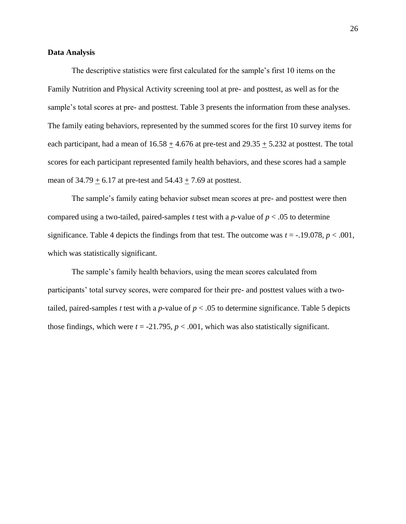#### **Data Analysis**

The descriptive statistics were first calculated for the sample's first 10 items on the Family Nutrition and Physical Activity screening tool at pre- and posttest, as well as for the sample's total scores at pre- and posttest. Table 3 presents the information from these analyses. The family eating behaviors, represented by the summed scores for the first 10 survey items for each participant, had a mean of  $16.58 \pm 4.676$  at pre-test and  $29.35 \pm 5.232$  at posttest. The total scores for each participant represented family health behaviors, and these scores had a sample mean of  $34.79 \pm 6.17$  at pre-test and  $54.43 \pm 7.69$  at posttest.

The sample's family eating behavior subset mean scores at pre- and posttest were then compared using a two-tailed, paired-samples *t* test with a *p*-value of  $p < .05$  to determine significance. Table 4 depicts the findings from that test. The outcome was  $t = -0.19078$ ,  $p < 0.001$ , which was statistically significant.

The sample's family health behaviors, using the mean scores calculated from participants' total survey scores, were compared for their pre- and posttest values with a twotailed, paired-samples *t* test with a *p*-value of  $p < .05$  to determine significance. Table 5 depicts those findings, which were  $t = -21.795$ ,  $p < .001$ , which was also statistically significant.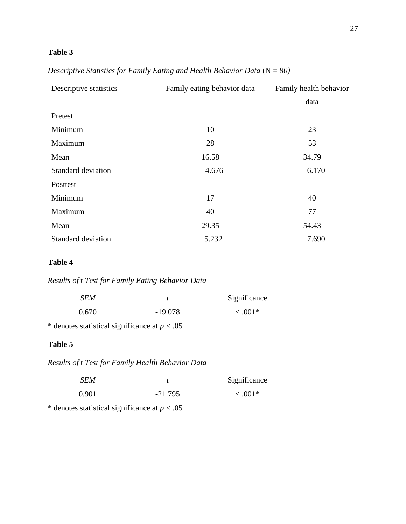# **Table 3**

| Descriptive statistics    | Family eating behavior data | Family health behavior |
|---------------------------|-----------------------------|------------------------|
|                           |                             | data                   |
| Pretest                   |                             |                        |
| Minimum                   | 10                          | 23                     |
| Maximum                   | 28                          | 53                     |
| Mean                      | 16.58                       | 34.79                  |
| Standard deviation        | 4.676                       | 6.170                  |
| Posttest                  |                             |                        |
| Minimum                   | 17                          | 40                     |
| Maximum                   | 40                          | 77                     |
| Mean                      | 29.35                       | 54.43                  |
| <b>Standard deviation</b> | 5.232                       | 7.690                  |

*Descriptive Statistics for Family Eating and Health Behavior Data* (N = 80)

## **Table 4**

*Results of* t *Test for Family Eating Behavior Data*

| SEM   |           | Significance |
|-------|-----------|--------------|
| 0.670 | $-19.078$ | $< 0.001*$   |

\* denotes statistical significance at  $p < .05$ 

## **Table 5**

*Results of* t *Test for Family Health Behavior Data*

| SEM   |           | Significance |
|-------|-----------|--------------|
| 0.901 | $-21.795$ | $< 0.001*$   |

\* denotes statistical significance at  $p < .05$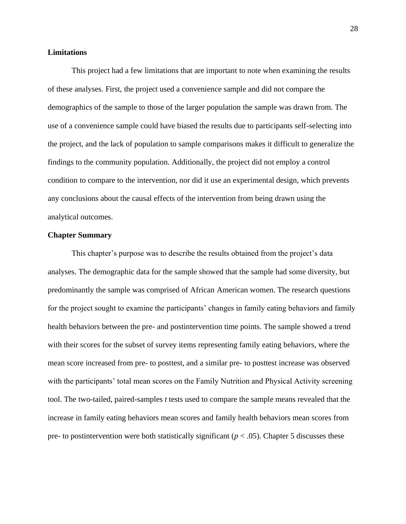#### **Limitations**

This project had a few limitations that are important to note when examining the results of these analyses. First, the project used a convenience sample and did not compare the demographics of the sample to those of the larger population the sample was drawn from. The use of a convenience sample could have biased the results due to participants self-selecting into the project, and the lack of population to sample comparisons makes it difficult to generalize the findings to the community population. Additionally, the project did not employ a control condition to compare to the intervention, nor did it use an experimental design, which prevents any conclusions about the causal effects of the intervention from being drawn using the analytical outcomes.

#### **Chapter Summary**

This chapter's purpose was to describe the results obtained from the project's data analyses. The demographic data for the sample showed that the sample had some diversity, but predominantly the sample was comprised of African American women. The research questions for the project sought to examine the participants' changes in family eating behaviors and family health behaviors between the pre- and postintervention time points. The sample showed a trend with their scores for the subset of survey items representing family eating behaviors, where the mean score increased from pre- to posttest, and a similar pre- to posttest increase was observed with the participants' total mean scores on the Family Nutrition and Physical Activity screening tool. The two-tailed, paired-samples *t* tests used to compare the sample means revealed that the increase in family eating behaviors mean scores and family health behaviors mean scores from pre- to postintervention were both statistically significant ( $p < .05$ ). Chapter 5 discusses these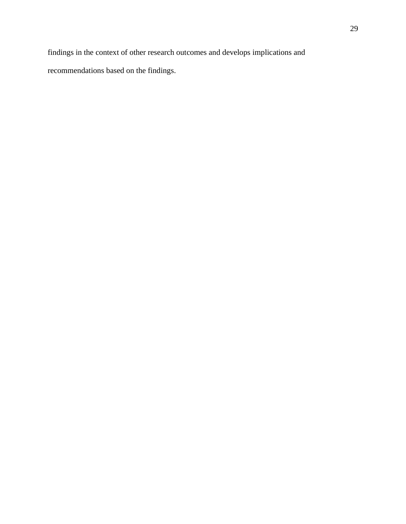findings in the context of other research outcomes and develops implications and recommendations based on the findings.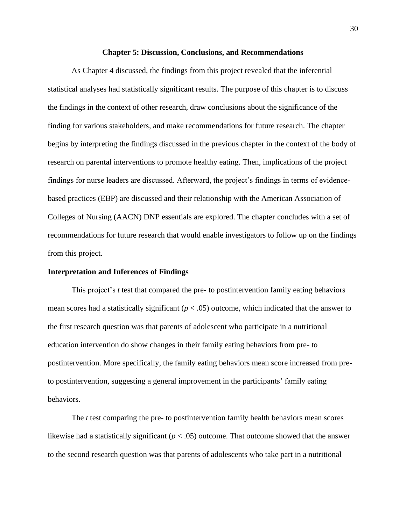#### **Chapter 5: Discussion, Conclusions, and Recommendations**

As Chapter 4 discussed, the findings from this project revealed that the inferential statistical analyses had statistically significant results. The purpose of this chapter is to discuss the findings in the context of other research, draw conclusions about the significance of the finding for various stakeholders, and make recommendations for future research. The chapter begins by interpreting the findings discussed in the previous chapter in the context of the body of research on parental interventions to promote healthy eating. Then, implications of the project findings for nurse leaders are discussed. Afterward, the project's findings in terms of evidencebased practices (EBP) are discussed and their relationship with the American Association of Colleges of Nursing (AACN) DNP essentials are explored. The chapter concludes with a set of recommendations for future research that would enable investigators to follow up on the findings from this project.

#### **Interpretation and Inferences of Findings**

This project's *t* test that compared the pre- to postintervention family eating behaviors mean scores had a statistically significant ( $p < .05$ ) outcome, which indicated that the answer to the first research question was that parents of adolescent who participate in a nutritional education intervention do show changes in their family eating behaviors from pre- to postintervention. More specifically, the family eating behaviors mean score increased from preto postintervention, suggesting a general improvement in the participants' family eating behaviors.

The *t* test comparing the pre- to postintervention family health behaviors mean scores likewise had a statistically significant  $(p < .05)$  outcome. That outcome showed that the answer to the second research question was that parents of adolescents who take part in a nutritional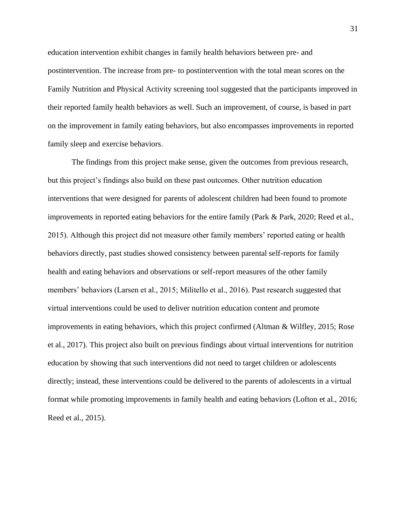education intervention exhibit changes in family health behaviors between pre- and postintervention. The increase from pre- to postintervention with the total mean scores on the Family Nutrition and Physical Activity screening tool suggested that the participants improved in their reported family health behaviors as well. Such an improvement, of course, is based in part on the improvement in family eating behaviors, but also encompasses improvements in reported family sleep and exercise behaviors.

The findings from this project make sense, given the outcomes from previous research, but this project's findings also build on these past outcomes. Other nutrition education interventions that were designed for parents of adolescent children had been found to promote improvements in reported eating behaviors for the entire family (Park & Park, 2020; Reed et al., 2015). Although this project did not measure other family members' reported eating or health behaviors directly, past studies showed consistency between parental self-reports for family health and eating behaviors and observations or self-report measures of the other family members' behaviors (Larsen et al., 2015; Militello et al., 2016). Past research suggested that virtual interventions could be used to deliver nutrition education content and promote improvements in eating behaviors, which this project confirmed (Altman & Wilfley, 2015; Rose et al., 2017). This project also built on previous findings about virtual interventions for nutrition education by showing that such interventions did not need to target children or adolescents directly; instead, these interventions could be delivered to the parents of adolescents in a virtual format while promoting improvements in family health and eating behaviors (Lofton et al., 2016; Reed et al., 2015).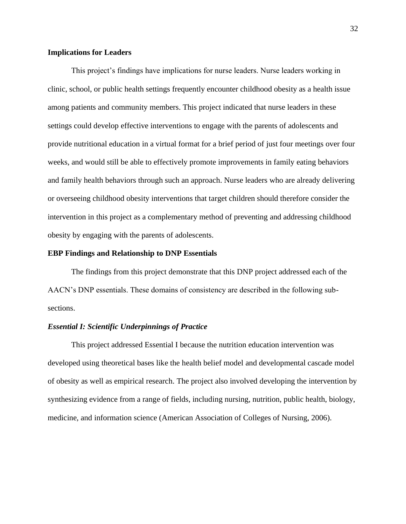#### **Implications for Leaders**

This project's findings have implications for nurse leaders. Nurse leaders working in clinic, school, or public health settings frequently encounter childhood obesity as a health issue among patients and community members. This project indicated that nurse leaders in these settings could develop effective interventions to engage with the parents of adolescents and provide nutritional education in a virtual format for a brief period of just four meetings over four weeks, and would still be able to effectively promote improvements in family eating behaviors and family health behaviors through such an approach. Nurse leaders who are already delivering or overseeing childhood obesity interventions that target children should therefore consider the intervention in this project as a complementary method of preventing and addressing childhood obesity by engaging with the parents of adolescents.

#### **EBP Findings and Relationship to DNP Essentials**

The findings from this project demonstrate that this DNP project addressed each of the AACN's DNP essentials. These domains of consistency are described in the following subsections.

#### *Essential I: Scientific Underpinnings of Practice*

This project addressed Essential I because the nutrition education intervention was developed using theoretical bases like the health belief model and developmental cascade model of obesity as well as empirical research. The project also involved developing the intervention by synthesizing evidence from a range of fields, including nursing, nutrition, public health, biology, medicine, and information science (American Association of Colleges of Nursing, 2006).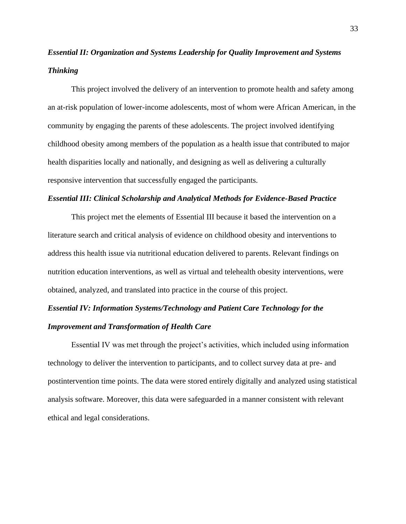# *Essential II: Organization and Systems Leadership for Quality Improvement and Systems Thinking*

This project involved the delivery of an intervention to promote health and safety among an at-risk population of lower-income adolescents, most of whom were African American, in the community by engaging the parents of these adolescents. The project involved identifying childhood obesity among members of the population as a health issue that contributed to major health disparities locally and nationally, and designing as well as delivering a culturally responsive intervention that successfully engaged the participants.

#### *Essential III: Clinical Scholarship and Analytical Methods for Evidence-Based Practice*

This project met the elements of Essential III because it based the intervention on a literature search and critical analysis of evidence on childhood obesity and interventions to address this health issue via nutritional education delivered to parents. Relevant findings on nutrition education interventions, as well as virtual and telehealth obesity interventions, were obtained, analyzed, and translated into practice in the course of this project.

# *Essential IV: Information Systems/Technology and Patient Care Technology for the Improvement and Transformation of Health Care*

Essential IV was met through the project's activities, which included using information technology to deliver the intervention to participants, and to collect survey data at pre- and postintervention time points. The data were stored entirely digitally and analyzed using statistical analysis software. Moreover, this data were safeguarded in a manner consistent with relevant ethical and legal considerations.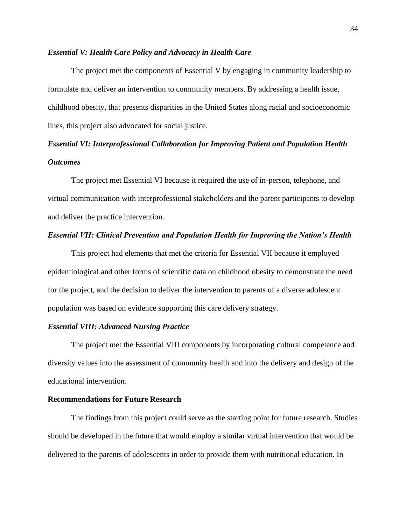#### *Essential V: Health Care Policy and Advocacy in Health Care*

The project met the components of Essential V by engaging in community leadership to formulate and deliver an intervention to community members. By addressing a health issue, childhood obesity, that presents disparities in the United States along racial and socioeconomic lines, this project also advocated for social justice.

# *Essential VI: Interprofessional Collaboration for Improving Patient and Population Health Outcomes*

The project met Essential VI because it required the use of in-person, telephone, and virtual communication with interprofessional stakeholders and the parent participants to develop and deliver the practice intervention.

#### *Essential VII: Clinical Prevention and Population Health for Improving the Nation's Health*

This project had elements that met the criteria for Essential VII because it employed epidemiological and other forms of scientific data on childhood obesity to demonstrate the need for the project, and the decision to deliver the intervention to parents of a diverse adolescent population was based on evidence supporting this care delivery strategy.

#### *Essential VIII: Advanced Nursing Practice*

The project met the Essential VIII components by incorporating cultural competence and diversity values into the assessment of community health and into the delivery and design of the educational intervention.

#### **Recommendations for Future Research**

The findings from this project could serve as the starting point for future research. Studies should be developed in the future that would employ a similar virtual intervention that would be delivered to the parents of adolescents in order to provide them with nutritional education. In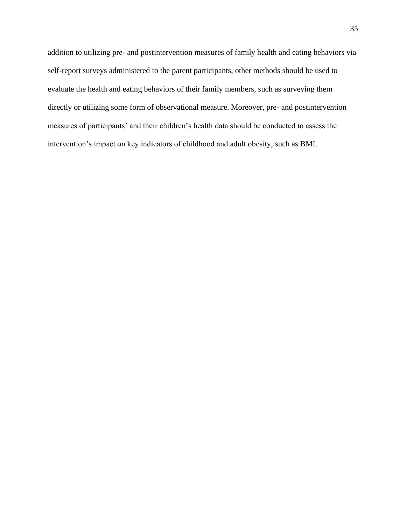addition to utilizing pre- and postintervention measures of family health and eating behaviors via self-report surveys administered to the parent participants, other methods should be used to evaluate the health and eating behaviors of their family members, such as surveying them directly or utilizing some form of observational measure. Moreover, pre- and postintervention measures of participants' and their children's health data should be conducted to assess the intervention's impact on key indicators of childhood and adult obesity, such as BMI.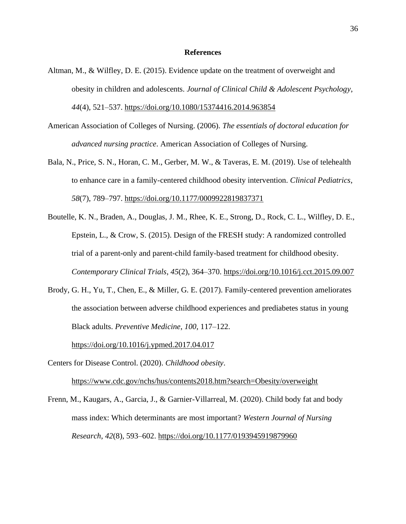#### **References**

- Altman, M., & Wilfley, D. E. (2015). Evidence update on the treatment of overweight and obesity in children and adolescents. *Journal of Clinical Child & Adolescent Psychology*, *44*(4), 521–537.<https://doi.org/10.1080/15374416.2014.963854>
- American Association of Colleges of Nursing. (2006). *The essentials of doctoral education for advanced nursing practice*. American Association of Colleges of Nursing.
- Bala, N., Price, S. N., Horan, C. M., Gerber, M. W., & Taveras, E. M. (2019). Use of telehealth to enhance care in a family-centered childhood obesity intervention. *Clinical Pediatrics*, *58*(7), 789–797.<https://doi.org/10.1177/0009922819837371>
- Boutelle, K. N., Braden, A., Douglas, J. M., Rhee, K. E., Strong, D., Rock, C. L., Wilfley, D. E., Epstein, L., & Crow, S. (2015). Design of the FRESH study: A randomized controlled trial of a parent-only and parent-child family-based treatment for childhood obesity. *Contemporary Clinical Trials*, *45*(2), 364–370.<https://doi.org/10.1016/j.cct.2015.09.007>
- Brody, G. H., Yu, T., Chen, E., & Miller, G. E. (2017). Family-centered prevention ameliorates the association between adverse childhood experiences and prediabetes status in young Black adults. *Preventive Medicine*, *100*, 117–122.

<https://doi.org/10.1016/j.ypmed.2017.04.017>

- Centers for Disease Control. (2020). *Childhood obesity*. <https://www.cdc.gov/nchs/hus/contents2018.htm?search=Obesity/overweight>
- Frenn, M., Kaugars, A., Garcia, J., & Garnier-Villarreal, M. (2020). Child body fat and body mass index: Which determinants are most important? *Western Journal of Nursing Research*, *42*(8), 593–602.<https://doi.org/10.1177/0193945919879960>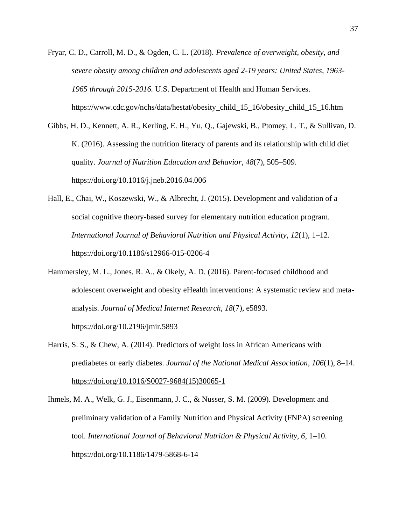- Fryar, C. D., Carroll, M. D., & Ogden, C. L. (2018). *Prevalence of overweight, obesity, and severe obesity among children and adolescents aged 2-19 years: United States, 1963- 1965 through 2015-2016.* U.S. Department of Health and Human Services. [https://www.cdc.gov/nchs/data/hestat/obesity\\_child\\_15\\_16/obesity\\_child\\_15\\_16.htm](https://www.cdc.gov/nchs/data/hestat/obesity_child_15_16/obesity_child_15_16.htm)
- Gibbs, H. D., Kennett, A. R., Kerling, E. H., Yu, Q., Gajewski, B., Ptomey, L. T., & Sullivan, D. K. (2016). Assessing the nutrition literacy of parents and its relationship with child diet quality. *Journal of Nutrition Education and Behavior*, *48*(7), 505–509. <https://doi.org/10.1016/j.jneb.2016.04.006>
- Hall, E., Chai, W., Koszewski, W., & Albrecht, J. (2015). Development and validation of a social cognitive theory-based survey for elementary nutrition education program. *International Journal of Behavioral Nutrition and Physical Activity*, *12*(1), 1–12. <https://doi.org/10.1186/s12966-015-0206-4>
- Hammersley, M. L., Jones, R. A., & Okely, A. D. (2016). Parent-focused childhood and adolescent overweight and obesity eHealth interventions: A systematic review and metaanalysis. *Journal of Medical Internet Research*, *18*(7), e5893.

<https://doi.org/10.2196/jmir.5893>

- Harris, S. S., & Chew, A. (2014). Predictors of weight loss in African Americans with prediabetes or early diabetes. *Journal of the National Medical Association*, *106*(1), 8–14. [https://doi.org/10.1016/S0027-9684\(15\)30065-1](https://doi.org/10.1016/S0027-9684(15)30065-1)
- Ihmels, M. A., Welk, G. J., Eisenmann, J. C., & Nusser, S. M. (2009). Development and preliminary validation of a Family Nutrition and Physical Activity (FNPA) screening tool. *International Journal of Behavioral Nutrition & Physical Activity*, *6*, 1–10. <https://doi.org/10.1186/1479-5868-6-14>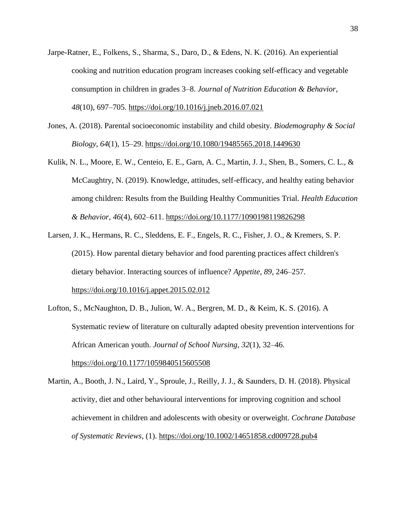- Jarpe-Ratner, E., Folkens, S., Sharma, S., Daro, D., & Edens, N. K. (2016). An experiential cooking and nutrition education program increases cooking self-efficacy and vegetable consumption in children in grades 3–8. *Journal of Nutrition Education & Behavior*, *48*(10), 697–705. <https://doi.org/10.1016/j.jneb.2016.07.021>
- Jones, A. (2018). Parental socioeconomic instability and child obesity. *Biodemography & Social Biology*, *64*(1), 15–29.<https://doi.org/10.1080/19485565.2018.1449630>
- Kulik, N. L., Moore, E. W., Centeio, E. E., Garn, A. C., Martin, J. J., Shen, B., Somers, C. L., & McCaughtry, N. (2019). Knowledge, attitudes, self-efficacy, and healthy eating behavior among children: Results from the Building Healthy Communities Trial. *Health Education & Behavior*, *46*(4), 602–611. <https://doi.org/10.1177/1090198119826298>
- Larsen, J. K., Hermans, R. C., Sleddens, E. F., Engels, R. C., Fisher, J. O., & Kremers, S. P. (2015). How parental dietary behavior and food parenting practices affect children's dietary behavior. Interacting sources of influence? *Appetite*, *89*, 246–257. <https://doi.org/10.1016/j.appet.2015.02.012>
- Lofton, S., McNaughton, D. B., Julion, W. A., Bergren, M. D., & Keim, K. S. (2016). A Systematic review of literature on culturally adapted obesity prevention interventions for African American youth. *Journal of School Nursing*, *32*(1), 32–46. <https://doi.org/10.1177/1059840515605508>
- Martin, A., Booth, J. N., Laird, Y., Sproule, J., Reilly, J. J., & Saunders, D. H. (2018). Physical activity, diet and other behavioural interventions for improving cognition and school achievement in children and adolescents with obesity or overweight. *Cochrane Database of Systematic Reviews*, (1).<https://doi.org/10.1002/14651858.cd009728.pub4>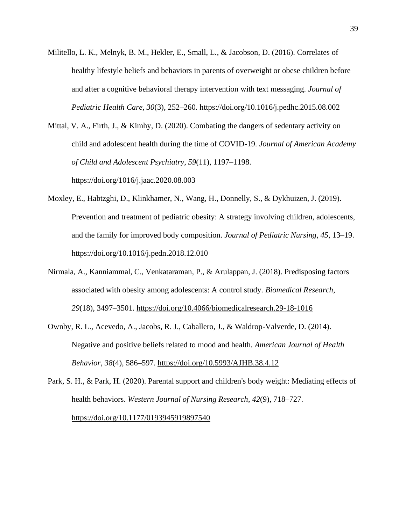- Militello, L. K., Melnyk, B. M., Hekler, E., Small, L., & Jacobson, D. (2016). Correlates of healthy lifestyle beliefs and behaviors in parents of overweight or obese children before and after a cognitive behavioral therapy intervention with text messaging. *Journal of Pediatric Health Care, 30*(3), 252–260.<https://doi.org/10.1016/j.pedhc.2015.08.002>
- Mittal, V. A., Firth, J., & Kimhy, D. (2020). Combating the dangers of sedentary activity on child and adolescent health during the time of COVID-19. *Journal of American Academy of Child and Adolescent Psychiatry*, *59*(11), 1197–1198.

<https://doi.org/1016/j.jaac.2020.08.003>

- Moxley, E., Habtzghi, D., Klinkhamer, N., Wang, H., Donnelly, S., & Dykhuizen, J. (2019). Prevention and treatment of pediatric obesity: A strategy involving children, adolescents, and the family for improved body composition. *Journal of Pediatric Nursing*, *45*, 13–19. <https://doi.org/10.1016/j.pedn.2018.12.010>
- Nirmala, A., Kanniammal, C., Venkataraman, P., & Arulappan, J. (2018). Predisposing factors associated with obesity among adolescents: A control study. *Biomedical Research*, *29*(18), 3497–3501.<https://doi.org/10.4066/biomedicalresearch.29-18-1016>
- Ownby, R. L., Acevedo, A., Jacobs, R. J., Caballero, J., & Waldrop-Valverde, D. (2014). Negative and positive beliefs related to mood and health. *American Journal of Health Behavior*, *38*(4), 586–597.<https://doi.org/10.5993/AJHB.38.4.12>
- Park, S. H., & Park, H. (2020). Parental support and children's body weight: Mediating effects of health behaviors. *Western Journal of Nursing Research*, *42*(9), 718–727. <https://doi.org/10.1177/0193945919897540>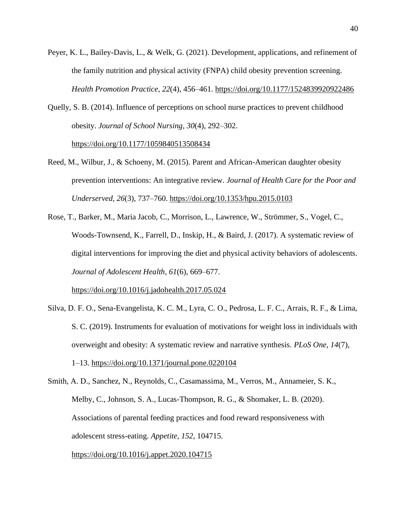- Peyer, K. L., Bailey-Davis, L., & Welk, G. (2021). Development, applications, and refinement of the family nutrition and physical activity (FNPA) child obesity prevention screening. *Health Promotion Practice*, *22*(4), 456–461.<https://doi.org/10.1177/1524839920922486>
- Quelly, S. B. (2014). Influence of perceptions on school nurse practices to prevent childhood obesity. *Journal of School Nursing*, *30*(4), 292–302.

<https://doi.org/10.1177/1059840513508434>

- Reed, M., Wilbur, J., & Schoeny, M. (2015). Parent and African-American daughter obesity prevention interventions: An integrative review. *Journal of Health Care for the Poor and Underserved*, *26*(3), 737–760. <https://doi.org/10.1353/hpu.2015.0103>
- Rose, T., Barker, M., Maria Jacob, C., Morrison, L., Lawrence, W., Strömmer, S., Vogel, C., Woods-Townsend, K., Farrell, D., Inskip, H., & Baird, J. (2017). A systematic review of digital interventions for improving the diet and physical activity behaviors of adolescents. *Journal of Adolescent Health*, *61*(6), 669–677.

<https://doi.org/10.1016/j.jadohealth.2017.05.024>

Silva, D. F. O., Sena-Evangelista, K. C. M., Lyra, C. O., Pedrosa, L. F. C., Arrais, R. F., & Lima, S. C. (2019). Instruments for evaluation of motivations for weight loss in individuals with overweight and obesity: A systematic review and narrative synthesis. *PLoS One*, *14*(7), 1–13.<https://doi.org/10.1371/journal.pone.0220104>

Smith, A. D., Sanchez, N., Reynolds, C., Casamassima, M., Verros, M., Annameier, S. K., Melby, C., Johnson, S. A., Lucas-Thompson, R. G., & Shomaker, L. B. (2020). Associations of parental feeding practices and food reward responsiveness with adolescent stress-eating. *Appetite*, *152*, 104715.

<https://doi.org/10.1016/j.appet.2020.104715>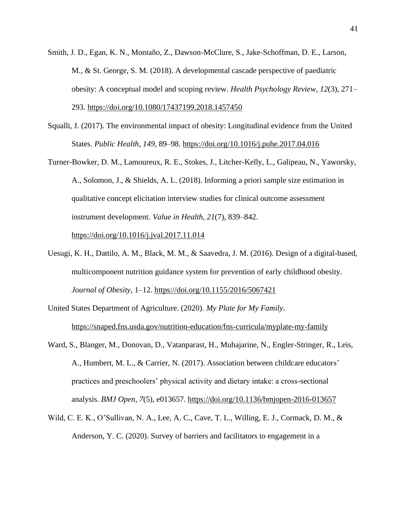- Smith, J. D., Egan, K. N., Montaño, Z., Dawson-McClure, S., Jake-Schoffman, D. E., Larson, M., & St. George, S. M. (2018). A developmental cascade perspective of paediatric obesity: A conceptual model and scoping review. *Health Psychology Review*, *12*(3), 271– 293.<https://doi.org/10.1080/17437199.2018.1457450>
- Squalli, J. (2017). The environmental impact of obesity: Longitudinal evidence from the United States. *Public Health*, *149*, 89–98.<https://doi.org/10.1016/j.puhe.2017.04.016>
- Turner-Bowker, D. M., Lamoureux, R. E., Stokes, J., Litcher-Kelly, L., Galipeau, N., Yaworsky, A., Solomon, J., & Shields, A. L. (2018). Informing a priori sample size estimation in qualitative concept elicitation interview studies for clinical outcome assessment instrument development. *Value in Health*, *21*(7), 839–842.

<https://doi.org/10.1016/j.jval.2017.11.014>

- Uesugi, K. H., Dattilo, A. M., Black, M. M., & Saavedra, J. M. (2016). Design of a digital-based, multicomponent nutrition guidance system for prevention of early childhood obesity. *Journal of Obesity*, 1–12.<https://doi.org/10.1155/2016/5067421>
- United States Department of Agriculture. (2020). *My Plate for My Family*. <https://snaped.fns.usda.gov/nutrition-education/fns-curricula/myplate-my-family>
- Ward, S., Blanger, M., Donovan, D., Vatanparast, H., Muhajarine, N., Engler-Stringer, R., Leis, A., Humbert, M. L., & Carrier, N. (2017). Association between childcare educators' practices and preschoolers' physical activity and dietary intake: a cross-sectional analysis. *BMJ Open*, *7*(5), e013657. <https://doi.org/10.1136/bmjopen-2016-013657>
- Wild, C. E. K., O'Sullivan, N. A., Lee, A. C., Cave, T. L., Willing, E. J., Cormack, D. M., & Anderson, Y. C. (2020). Survey of barriers and facilitators to engagement in a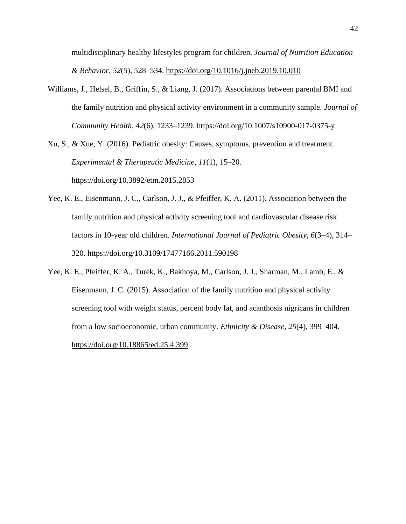multidisciplinary healthy lifestyles program for children. *Journal of Nutrition Education & Behavior*, *52*(5), 528–534.<https://doi.org/10.1016/j.jneb.2019.10.010>

Williams, J., Helsel, B., Griffin, S., & Liang, J. (2017). Associations between parental BMI and the family nutrition and physical activity environment in a community sample. *Journal of Community Health*, *42*(6), 1233–1239.<https://doi.org/10.1007/s10900-017-0375-y>

Xu, S., & Xue, Y. (2016). Pediatric obesity: Causes, symptoms, prevention and treatment. *Experimental & Therapeutic Medicine*, *11*(1), 15–20.

<https://doi.org/10.3892/etm.2015.2853>

- Yee, K. E., Eisenmann, J. C., Carlson, J. J., & Pfeiffer, K. A. (2011). Association between the family nutrition and physical activity screening tool and cardiovascular disease risk factors in 10-year old children. *International Journal of Pediatric Obesity*, *6*(3–4), 314– 320.<https://doi.org/10.3109/17477166.2011.590198>
- Yee, K. E., Pfeiffer, K. A., Turek, K., Bakhoya, M., Carlson, J. J., Sharman, M., Lamb, E., & Eisenmann, J. C. (2015). Association of the family nutrition and physical activity screening tool with weight status, percent body fat, and acanthosis nigricans in children from a low socioeconomic, urban community. *Ethnicity & Disease*, *25*(4), 399–404. <https://doi.org/10.18865/ed.25.4.399>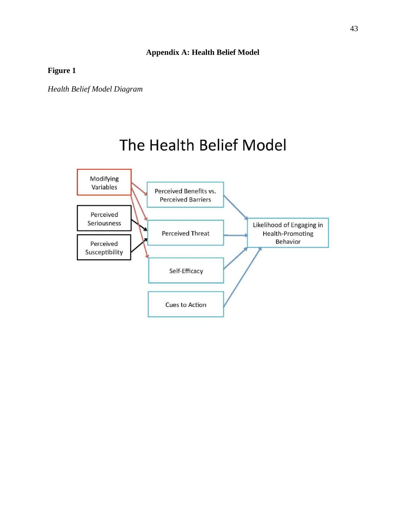## **Appendix A: Health Belief Model**

**Figure 1**

*Health Belief Model Diagram*

# The Health Belief Model

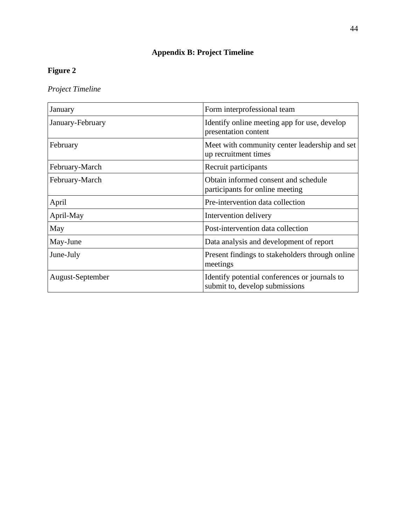# **Appendix B: Project Timeline**

# **Figure 2**

*Project Timeline*

| January          | Form interprofessional team                                                     |
|------------------|---------------------------------------------------------------------------------|
| January-February | Identify online meeting app for use, develop<br>presentation content            |
| February         | Meet with community center leadership and set<br>up recruitment times           |
| February-March   | Recruit participants                                                            |
| February-March   | Obtain informed consent and schedule<br>participants for online meeting         |
| April            | Pre-intervention data collection                                                |
| April-May        | Intervention delivery                                                           |
| May              | Post-intervention data collection                                               |
| May-June         | Data analysis and development of report                                         |
| June-July        | Present findings to stakeholders through online<br>meetings                     |
| August-September | Identify potential conferences or journals to<br>submit to, develop submissions |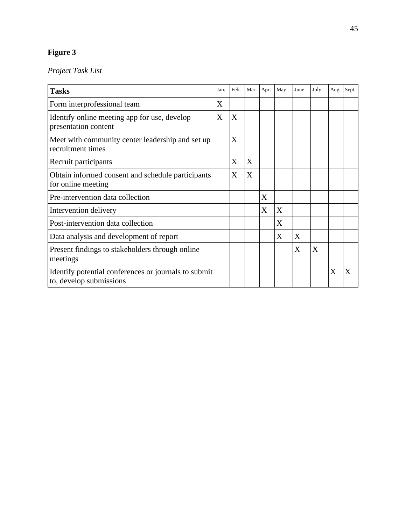# **Figure 3**

# *Project Task List*

| <b>Tasks</b>                                                                    | Jan.           | Feb.                      | Mar. | Apr. | May | June | July | Aug. | Sept. |
|---------------------------------------------------------------------------------|----------------|---------------------------|------|------|-----|------|------|------|-------|
| Form interprofessional team                                                     | $\overline{X}$ |                           |      |      |     |      |      |      |       |
| Identify online meeting app for use, develop<br>presentation content            | X              | $\boldsymbol{\mathrm{X}}$ |      |      |     |      |      |      |       |
| Meet with community center leadership and set up<br>recruitment times           |                | X                         |      |      |     |      |      |      |       |
| Recruit participants                                                            |                | X                         | X    |      |     |      |      |      |       |
| Obtain informed consent and schedule participants<br>for online meeting         |                | X                         | X    |      |     |      |      |      |       |
| Pre-intervention data collection                                                |                |                           |      | X    |     |      |      |      |       |
| Intervention delivery                                                           |                |                           |      | X    | X   |      |      |      |       |
| Post-intervention data collection                                               |                |                           |      |      | X   |      |      |      |       |
| Data analysis and development of report                                         |                |                           |      |      | X   | X    |      |      |       |
| Present findings to stakeholders through online<br>meetings                     |                |                           |      |      |     | X    | X    |      |       |
| Identify potential conferences or journals to submit<br>to, develop submissions |                |                           |      |      |     |      |      | X    | X     |